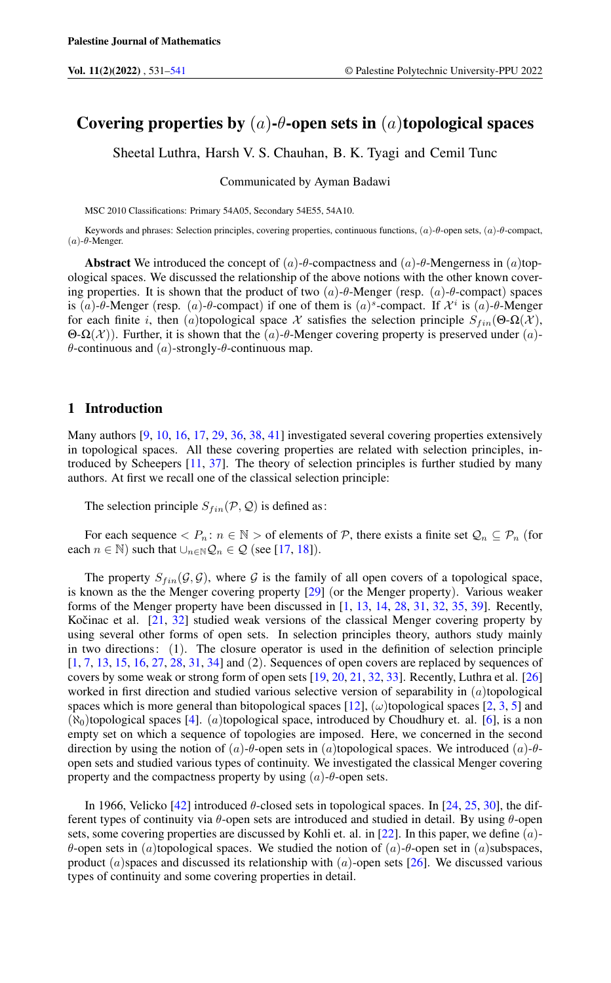# Covering properties by  $(a)$ - $\theta$ -open sets in  $(a)$ topological spaces

Sheetal Luthra, Harsh V. S. Chauhan, B. K. Tyagi and Cemil Tunc

Communicated by Ayman Badawi

MSC 2010 Classifications: Primary 54A05, Secondary 54E55, 54A10.

Keywords and phrases: Selection principles, covering properties, continuous functions, (a)-θ-open sets, (a)-θ-compact, ( $a$ )-θ-Menger.

Abstract We introduced the concept of (a)-θ-compactness and (a)-θ-Mengerness in (a)topological spaces. We discussed the relationship of the above notions with the other known covering properties. It is shown that the product of two  $(a)$ -θ-Menger (resp.  $(a)$ -θ-compact) spaces is (a)- $\theta$ -Menger (resp. (a)- $\theta$ -compact) if one of them is (a)<sup>s</sup>-compact. If  $\mathcal{X}^i$  is (a)- $\theta$ -Menger for each finite i, then (a)topological space X satisfies the selection principle  $S_{fin}(\Theta \cdot \Omega(\mathcal{X}))$ , Θ-Ω(X)). Further, it is shown that the (a)-θ-Menger covering property is preserved under (a)θ-continuous and (a)-strongly-θ-continuous map.

# 1 Introduction

Many authors [\[9,](#page-9-1) [10,](#page-9-2) [16,](#page-9-3) [17,](#page-9-4) [29,](#page-10-0) [36,](#page-10-1) [38,](#page-10-2) [41\]](#page-10-3) investigated several covering properties extensively in topological spaces. All these covering properties are related with selection principles, introduced by Scheepers [\[11,](#page-9-5) [37\]](#page-10-4). The theory of selection principles is further studied by many authors. At first we recall one of the classical selection principle:

The selection principle  $S_{fin}(\mathcal{P}, \mathcal{Q})$  is defined as:

For each sequence  $\langle P_n : n \in \mathbb{N} \rangle$  of elements of  $P$ , there exists a finite set  $Q_n \subseteq P_n$  (for each  $n \in \mathbb{N}$ ) such that  $\bigcup_{n \in \mathbb{N}} \mathcal{Q}_n \in \mathcal{Q}$  (see [\[17,](#page-9-4) [18\]](#page-9-6)).

The property  $S_{fin}(\mathcal{G}, \mathcal{G})$ , where  $\mathcal{G}$  is the family of all open covers of a topological space, is known as the the Menger covering property [\[29\]](#page-10-0) (or the Menger property). Various weaker forms of the Menger property have been discussed in [\[1,](#page-9-7) [13,](#page-9-8) [14,](#page-9-9) [28,](#page-10-5) [31,](#page-10-6) [32,](#page-10-7) [35,](#page-10-8) [39\]](#page-10-9). Recently, Kočinac et al.  $[21, 32]$  $[21, 32]$  $[21, 32]$  $[21, 32]$  studied weak versions of the classical Menger covering property by using several other forms of open sets. In selection principles theory, authors study mainly in two directions: (1). The closure operator is used in the definition of selection principle [\[1,](#page-9-7) [7,](#page-9-10) [13,](#page-9-8) [15,](#page-9-11) [16,](#page-9-3) [27,](#page-10-11) [28,](#page-10-5) [31,](#page-10-6) [34\]](#page-10-12) and (2). Sequences of open covers are replaced by sequences of covers by some weak or strong form of open sets [\[19,](#page-9-12) [20,](#page-10-13) [21,](#page-10-10) [32,](#page-10-7) [33\]](#page-10-14). Recently, Luthra et al. [\[26\]](#page-10-15) worked in first direction and studied various selective version of separability in  $(a)$ topological spaces which is more general than bitopological spaces [\[12\]](#page-9-13),  $(\omega)$ topological spaces [\[2,](#page-9-14) [3,](#page-9-15) [5\]](#page-9-16) and  $(\aleph_0)$ topological spaces [\[4\]](#page-9-17). (a)topological space, introduced by Choudhury et. al. [\[6\]](#page-9-18), is a non empty set on which a sequence of topologies are imposed. Here, we concerned in the second direction by using the notion of (a)- $\theta$ -open sets in (a)topological spaces. We introduced (a)- $\theta$ open sets and studied various types of continuity. We investigated the classical Menger covering property and the compactness property by using  $(a)$ - $\theta$ -open sets.

In 1966, Velicko [\[42\]](#page-10-16) introduced  $\theta$ -closed sets in topological spaces. In [\[24,](#page-10-17) [25,](#page-10-18) [30\]](#page-10-19), the different types of continuity via  $\theta$ -open sets are introduced and studied in detail. By using  $\theta$ -open sets, some covering properties are discussed by Kohli et. al. in [\[22\]](#page-10-20). In this paper, we define  $(a)$ θ-open sets in (a)topological spaces. We studied the notion of (a)-θ-open set in (a)subspaces, product  $(a)$ spaces and discussed its relationship with  $(a)$ -open sets [\[26\]](#page-10-15). We discussed various types of continuity and some covering properties in detail.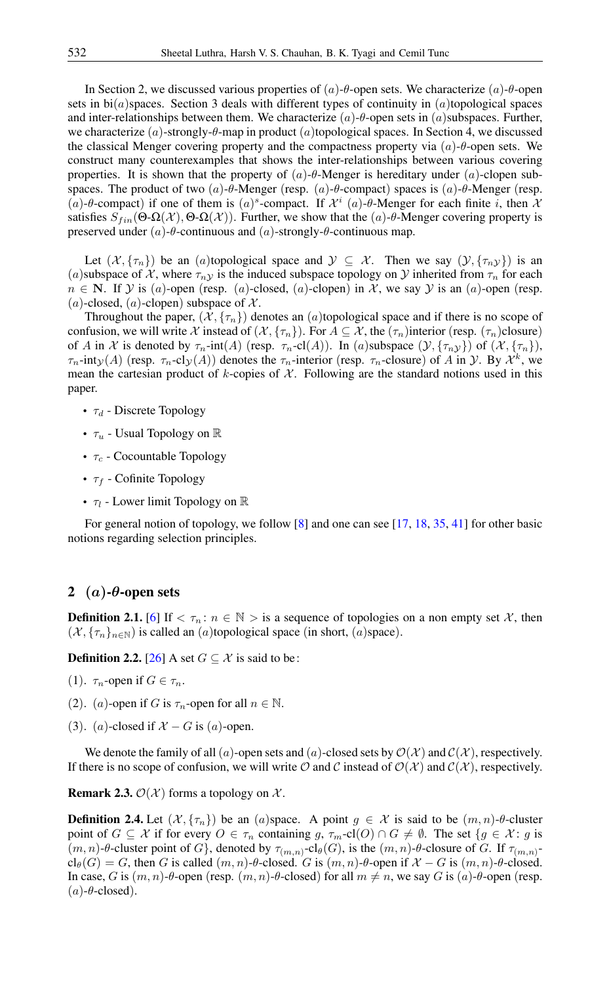In Section 2, we discussed various properties of  $(a)$ -θ-open sets. We characterize  $(a)$ -θ-open sets in  $\text{bi}(a)$  spaces. Section 3 deals with different types of continuity in  $(a)$  topological spaces and inter-relationships between them. We characterize  $(a)$ - $\theta$ -open sets in  $(a)$ subspaces. Further, we characterize  $(a)$ -strongly- $\theta$ -map in product  $(a)$ topological spaces. In Section 4, we discussed the classical Menger covering property and the compactness property via  $(a)$ - $\theta$ -open sets. We construct many counterexamples that shows the inter-relationships between various covering properties. It is shown that the property of  $(a)$ - $\theta$ -Menger is hereditary under  $(a)$ -clopen subspaces. The product of two  $(a)$ -θ-Menger (resp.  $(a)$ -θ-compact) spaces is  $(a)$ -θ-Menger (resp. (a)-θ-compact) if one of them is  $(a)^s$ -compact. If  $\mathcal{X}^i$  (a)-θ-Menger for each finite i, then  $\lambda$ satisfies  $S_{fin}(\Theta \cdot \Omega(\mathcal{X}), \Theta \cdot \Omega(\mathcal{X}))$ . Further, we show that the (a)-θ-Menger covering property is preserved under (a)-θ-continuous and (a)-strongly-θ-continuous map.

Let  $(\mathcal{X}, \{\tau_n\})$  be an (a)topological space and  $\mathcal{Y} \subseteq \mathcal{X}$ . Then we say  $(\mathcal{Y}, \{\tau_{n\mathcal{Y}}\})$  is an (a) subspace of X, where  $\tau_{n}$  is the induced subspace topology on Y inherited from  $\tau_n$  for each  $n \in \mathbb{N}$ . If  $\mathcal Y$  is (a)-open (resp. (a)-closed, (a)-clopen) in  $\mathcal X$ , we say  $\mathcal Y$  is an (a)-open (resp. (a)-closed, (a)-clopen) subspace of  $X$ .

Throughout the paper,  $(\mathcal{X}, {\{\tau_n\}})$  denotes an  $(a)$ topological space and if there is no scope of confusion, we will write X instead of  $(X, \{\tau_n\})$ . For  $A \subseteq \mathcal{X}$ , the  $(\tau_n)$ interior (resp.  $(\tau_n)$ closure) of A in X is denoted by  $\tau_n$ -int(A) (resp.  $\tau_n$ -cl(A)). In (a)subspace  $(\mathcal{Y}, {\tau_n \mathcal{Y}})$  of  $(\mathcal{X}, {\tau_n}\})$ ,  $\tau_n$ -int $y(A)$  (resp.  $\tau_n$ -cl $y(A)$ ) denotes the  $\tau_n$ -interior (resp.  $\tau_n$ -closure) of A in y. By  $\mathcal{X}^k$ , we mean the cartesian product of  $k$ -copies of  $\mathcal X$ . Following are the standard notions used in this paper.

- $\tau_d$  Discrete Topology
- $\tau_u$  Usual Topology on R
- $\tau_c$  Cocountable Topology
- $\tau_f$  Cofinite Topology
- $\tau_l$  Lower limit Topology on  $\mathbb R$

For general notion of topology, we follow [\[8\]](#page-9-19) and one can see [\[17,](#page-9-4) [18,](#page-9-6) [35,](#page-10-8) [41\]](#page-10-3) for other basic notions regarding selection principles.

# 2 (a)- $\theta$ -open sets

**Definition 2.1.** [\[6\]](#page-9-18) If  $\langle \tau_n : n \in \mathbb{N} \rangle$  is a sequence of topologies on a non empty set X, then  $(\mathcal{X}, {\{\tau_n\}}_{n \in \mathbb{N}})$  is called an  $(a)$ topological space (in short,  $(a)$ space).

**Definition 2.2.** [\[26\]](#page-10-15) A set  $G \subseteq \mathcal{X}$  is said to be:

- (1).  $\tau_n$ -open if  $G \in \tau_n$ .
- (2). (a)-open if G is  $\tau_n$ -open for all  $n \in \mathbb{N}$ .
- (3). (a)-closed if  $X G$  is (a)-open.

We denote the family of all (a)-open sets and (a)-closed sets by  $\mathcal{O}(\mathcal{X})$  and  $\mathcal{C}(\mathcal{X})$ , respectively. If there is no scope of confusion, we will write  $\mathcal O$  and  $\mathcal C$  instead of  $\mathcal O(\mathcal X)$  and  $\mathcal C(\mathcal X)$ , respectively.

**Remark 2.3.**  $\mathcal{O}(\mathcal{X})$  forms a topology on  $\mathcal{X}$ .

**Definition 2.4.** Let  $(\mathcal{X}, \{\tau_n\})$  be an  $(a)$  space. A point  $g \in \mathcal{X}$  is said to be  $(m, n)$ - $\theta$ -cluster point of  $G \subseteq \mathcal{X}$  if for every  $O \in \tau_n$  containing g,  $\tau_m$ -cl( $O \cap G \neq \emptyset$ . The set  $\{g \in \mathcal{X} : g \text{ is }$  $(m, n)$ -θ-cluster point of G, denoted by  $\tau_{(m,n)}$ -cl<sub>θ</sub>(G), is the  $(m, n)$ -θ-closure of G. If  $\tau_{(m,n)}$ - $\text{cl}_{\theta}(G) = G$ , then G is called  $(m, n)$ - $\theta$ -closed. G is  $(m, n)$ - $\theta$ -open if  $\mathcal{X} - G$  is  $(m, n)$ - $\theta$ -closed. In case, G is  $(m, n)$ -θ-open (resp.  $(m, n)$ -θ-closed) for all  $m \neq n$ , we say G is  $(a)$ -θ-open (resp.  $(a)$ - $\theta$ -closed).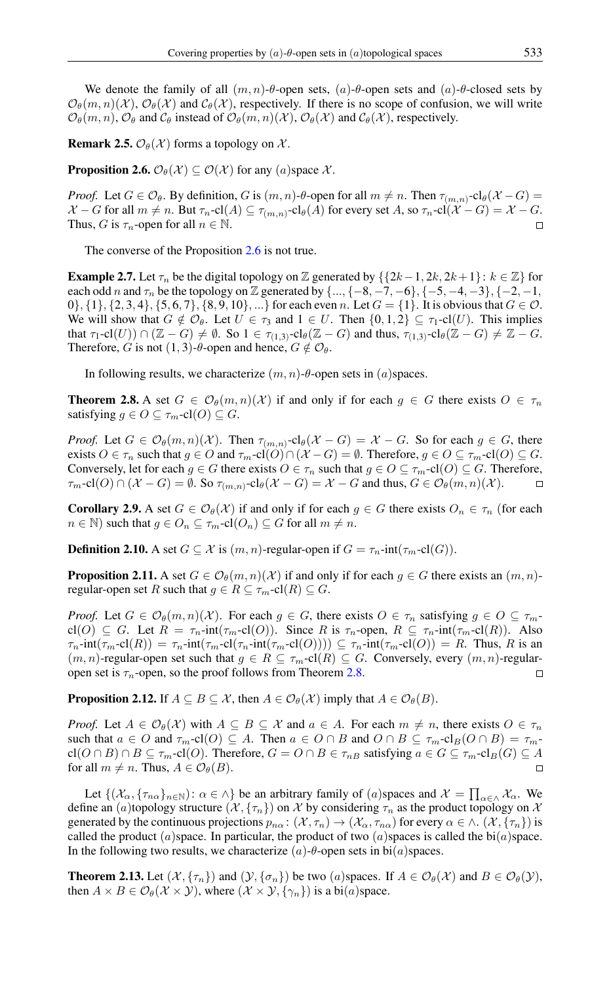We denote the family of all  $(m, n)$ - $\theta$ -open sets,  $(a)$ - $\theta$ -open sets and  $(a)$ - $\theta$ -closed sets by  $\mathcal{O}_{\theta}(m, n)(\mathcal{X})$ ,  $\mathcal{O}_{\theta}(\mathcal{X})$  and  $\mathcal{C}_{\theta}(\mathcal{X})$ , respectively. If there is no scope of confusion, we will write  $\mathcal{O}_{\theta}(m, n)$ ,  $\mathcal{O}_{\theta}$  and  $\mathcal{C}_{\theta}$  instead of  $\mathcal{O}_{\theta}(m, n)(\mathcal{X})$ ,  $\mathcal{O}_{\theta}(\mathcal{X})$  and  $\mathcal{C}_{\theta}(\mathcal{X})$ , respectively.

<span id="page-2-4"></span>**Remark 2.5.**  $\mathcal{O}_{\theta}(\mathcal{X})$  forms a topology on  $\mathcal{X}$ .

<span id="page-2-0"></span>**Proposition 2.6.**  $\mathcal{O}_{\theta}(\mathcal{X}) \subseteq \mathcal{O}(\mathcal{X})$  for any (a) space  $\mathcal{X}$ .

*Proof.* Let  $G \in \mathcal{O}_{\theta}$ . By definition, G is  $(m, n)$ -θ-open for all  $m \neq n$ . Then  $\tau_{(m,n)}$ -cl $_{\theta}(\mathcal{X} - G)$  =  $\mathcal{X}$  – G for all  $m \neq n$ . But  $\tau_n$ -cl $(A) \subseteq \tau_{(m,n)}$ -cl $_{\theta}(A)$  for every set  $A$ , so  $\tau_n$ -cl $(\mathcal{X} - G) = \mathcal{X} - G$ . Thus, G is  $\tau_n$ -open for all  $n \in \mathbb{N}$ .  $\Box$ 

The converse of the Proposition [2.6](#page-2-0) is not true.

**Example 2.7.** Let  $\tau_n$  be the digital topology on Z generated by  $\{\{2k-1, 2k, 2k+1\}: k \in \mathbb{Z}\}\$  for each odd n and  $\tau_n$  be the topology on Z generated by  $\{\ldots, \{-8, -7, -6\}, \{-5, -4, -3\}, \{-2, -1,$ 0}, {1}, {2, 3, 4}, {5, 6, 7}, {8, 9, 10}, ...} for each even n. Let  $G = \{1\}$ . It is obvious that  $G \in \mathcal{O}$ . We will show that  $G \notin \mathcal{O}_{\theta}$ . Let  $U \in \tau_3$  and  $1 \in U$ . Then  $\{0, 1, 2\} \subseteq \tau_1$ -cl $(U)$ . This implies that  $\tau_1$ -cl $(U)$ )  $\cap$   $(\mathbb{Z} - G) \neq \emptyset$ . So  $1 \in \tau_{(1,3)}$ -cl $_{\theta}$  $(\mathbb{Z} - G)$  and thus,  $\tau_{(1,3)}$ -cl $_{\theta}$  $(\mathbb{Z} - G) \neq \mathbb{Z} - G$ . Therefore, G is not  $(1, 3)$ -θ-open and hence,  $G \notin \mathcal{O}_{\theta}$ .

In following results, we characterize  $(m, n)$ - $\theta$ -open sets in  $(a)$ spaces.

<span id="page-2-1"></span>**Theorem 2.8.** A set  $G \in \mathcal{O}_{\theta}(m, n)(\mathcal{X})$  if and only if for each  $g \in G$  there exists  $O \in \tau_n$ satisfying  $g \in O \subseteq \tau_m$ -cl(O)  $\subseteq G$ .

*Proof.* Let  $G \in \mathcal{O}_{\theta}(m, n)(\mathcal{X})$ . Then  $\tau_{(m, n)}$ -cl<sub> $\theta$ </sub>( $\mathcal{X} - G$ ) =  $\mathcal{X} - G$ . So for each  $g \in G$ , there exists  $O \in \tau_n$  such that  $g \in O$  and  $\tau_m$ -cl $(O) \cap (\mathcal{X} - G) = \emptyset$ . Therefore,  $g \in O \subseteq \tau_m$ -cl $(O) \subseteq G$ . Conversely, let for each  $g \in G$  there exists  $O \in \tau_n$  such that  $g \in O \subseteq \tau_m$ -cl $(O) \subseteq G$ . Therefore,  $\tau_m\text{-}cl(O)\cap(\mathcal{X}-G)=\emptyset$ . So  $\tau_{(m,n)}\text{-}cl_{\theta}(\mathcal{X}-G)=\mathcal{X}-G$  and thus,  $G\in\mathcal{O}_{\theta}(m,n)(\mathcal{X})$ .  $\Box$ 

**Corollary 2.9.** A set  $G \in \mathcal{O}_{\theta}(\mathcal{X})$  if and only if for each  $g \in G$  there exists  $O_n \in \tau_n$  (for each  $n \in \mathbb{N}$ ) such that  $q \in O_n \subseteq \tau_m$ -cl $(O_n) \subseteq G$  for all  $m \neq n$ .

**Definition 2.10.** A set  $G \subseteq \mathcal{X}$  is  $(m, n)$ -regular-open if  $G = \tau_n$ -int $(\tau_m$ -cl(G)).

**Proposition 2.11.** A set  $G \in \mathcal{O}_{\theta}(m, n)(\mathcal{X})$  if and only if for each  $g \in G$  there exists an  $(m, n)$ regular-open set R such that  $g \in R \subseteq \tau_m$ -cl $(R) \subseteq G$ .

*Proof.* Let  $G \in \mathcal{O}_{\theta}(m, n)(\mathcal{X})$ . For each  $g \in G$ , there exists  $O \in \tau_n$  satisfying  $g \in O \subseteq \tau_m$ cl(O)  $\subseteq G$ . Let  $R = \tau_n$ -int( $\tau_m$ -cl(O)). Since R is  $\tau_n$ -open,  $R \subseteq \tau_n$ -int( $\tau_m$ -cl(R)). Also  $\tau_n$ -int $(\tau_m$ -cl(R)) =  $\tau_n$ -int $(\tau_m$ -cl( $\tau_n$ -int $(\tau_m$ -cl(O))))  $\subseteq \tau_n$ -int $(\tau_m$ -cl(O)) = R. Thus, R is an  $(m, n)$ -regular-open set such that  $g \in R \subseteq \tau_m$ -cl $(R) \subseteq G$ . Conversely, every  $(m, n)$ -regularopen set is  $\tau_n$ -open, so the proof follows from Theorem [2.8.](#page-2-1)  $\Box$ 

<span id="page-2-3"></span>**Proposition 2.12.** If  $A \subseteq B \subseteq \mathcal{X}$ , then  $A \in \mathcal{O}_{\theta}(\mathcal{X})$  imply that  $A \in \mathcal{O}_{\theta}(B)$ .

*Proof.* Let  $A \in \mathcal{O}_{\theta}(\mathcal{X})$  with  $A \subseteq B \subseteq \mathcal{X}$  and  $a \in A$ . For each  $m \neq n$ , there exists  $O \in \tau_n$ such that  $a \in O$  and  $\tau_m$ -cl(O)  $\subseteq A$ . Then  $a \in O \cap B$  and  $O \cap B \subseteq \tau_m$ -cl<sub>B</sub>( $O \cap B$ ) =  $\tau_m$  $cl(O \cap B) \cap B \subseteq \tau_m$ -cl(O). Therefore,  $G = O \cap B \in \tau_{nB}$  satisfying  $a \in G \subseteq \tau_m$ -cl<sub>B</sub>(G)  $\subseteq A$ for all  $m \neq n$ . Thus,  $A \in \mathcal{O}_{\theta}(B)$ .  $\Box$ 

Let  $\{(\mathcal{X}_{\alpha}, \{\tau_{n\alpha}\}_{n\in\mathbb{N}}): \alpha \in \wedge\}$  be an arbitrary family of  $(a)$ spaces and  $\mathcal{X} = \prod_{\alpha \in \wedge} \mathcal{X}_{\alpha}$ . We define an (a)topology structure  $(\mathcal{X}, \{\tau_n\})$  on X by considering  $\tau_n$  as the product topology on X generated by the continuous projections  $p_{n\alpha}$ :  $(\mathcal{X}, \tau_n) \to (\mathcal{X}_{\alpha}, \tau_{n\alpha})$  for every  $\alpha \in \wedge$ .  $(\mathcal{X}, {\tau_n})$  is called the product  $(a)$ space. In particular, the product of two  $(a)$ spaces is called the bi $(a)$ space. In the following two results, we characterize  $(a)$ - $\theta$ -open sets in bi $(a)$ spaces.

<span id="page-2-2"></span>**Theorem 2.13.** Let  $(\mathcal{X}, \{\tau_n\})$  and  $(\mathcal{Y}, \{\sigma_n\})$  be two (a)spaces. If  $A \in \mathcal{O}_{\theta}(\mathcal{X})$  and  $B \in \mathcal{O}_{\theta}(\mathcal{Y})$ , then  $A \times B \in \mathcal{O}_{\theta}(\mathcal{X} \times \mathcal{Y})$ , where  $(\mathcal{X} \times \mathcal{Y}, {\{\gamma_n\}})$  is a bi(*a*)space.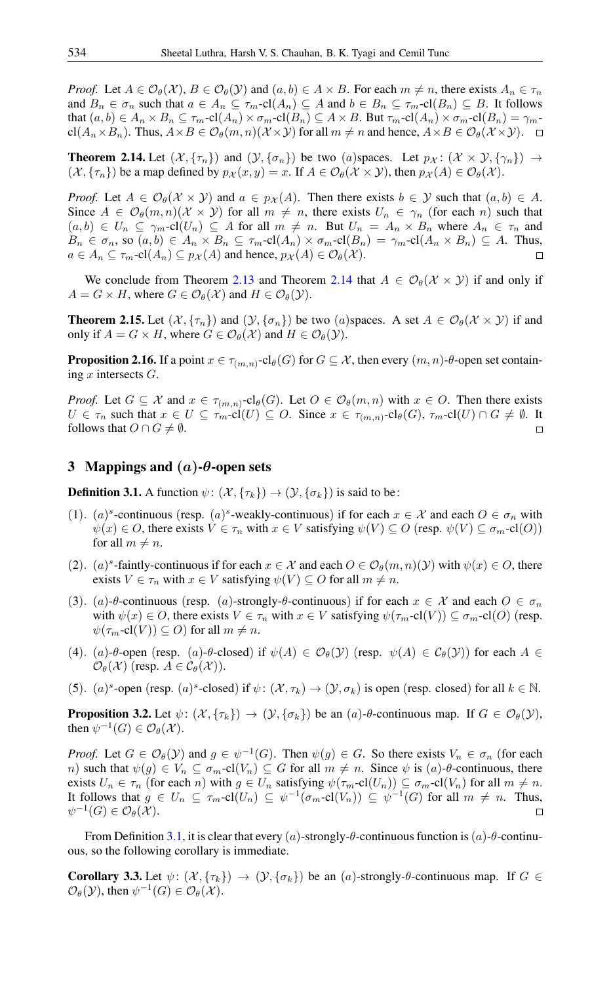*Proof.* Let  $A \in \mathcal{O}_{\theta}(\mathcal{X}), B \in \mathcal{O}_{\theta}(\mathcal{Y})$  and  $(a, b) \in A \times B$ . For each  $m \neq n$ , there exists  $A_n \in \tau_n$ and  $B_n \in \sigma_n$  such that  $a \in A_n \subseteq \tau_m$ -cl $(A_n) \subseteq A$  and  $b \in B_n \subseteq \tau_m$ -cl $(B_n) \subseteq B$ . It follows that  $(a, b) \in A_n \times B_n \subseteq \tau_m$ -cl $(A_n) \times \sigma_m$ -cl $(B_n) \subseteq A \times B$ . But  $\tau_m$ -cl $(A_n) \times \sigma_m$ -cl $(B_n) = \gamma_m$ - $\text{cl}(A_n \times B_n)$ . Thus,  $A \times B \in \mathcal{O}_{\theta}(m, n)(X \times Y)$  for all  $m \neq n$  and hence,  $A \times B \in \mathcal{O}_{\theta}(X \times Y)$ .  $\Box$ 

<span id="page-3-0"></span>**Theorem 2.14.** Let  $(\mathcal{X}, \{\tau_n\})$  and  $(\mathcal{Y}, \{\sigma_n\})$  be two (a)spaces. Let  $p_{\mathcal{X}}: (\mathcal{X} \times \mathcal{Y}, \{\gamma_n\}) \rightarrow$  $(\mathcal{X}, {\{\tau_n\}})$  be a map defined by  $p_{\mathcal{X}}(x, y) = x$ . If  $A \in \mathcal{O}_{\theta}(\mathcal{X} \times \mathcal{Y})$ , then  $p_{\mathcal{X}}(A) \in \mathcal{O}_{\theta}(\mathcal{X})$ .

*Proof.* Let  $A \in \mathcal{O}_{\theta}(\mathcal{X} \times \mathcal{Y})$  and  $a \in p_{\mathcal{X}}(A)$ . Then there exists  $b \in \mathcal{Y}$  such that  $(a, b) \in A$ . Since  $A \in \mathcal{O}_{\theta}(m,n)(\mathcal{X} \times \mathcal{Y})$  for all  $m \neq n$ , there exists  $U_n \in \gamma_n$  (for each n) such that  $(a, b) \in U_n \subseteq \gamma_m$ -cl $(U_n) \subseteq A$  for all  $m \neq n$ . But  $U_n = A_n \times B_n$  where  $A_n \in \tau_n$  and  $B_n \in \sigma_n$ , so  $(a, b) \in A_n \times B_n \subseteq \tau_m$ -cl $(A_n) \times \sigma_m$ -cl $(B_n) = \gamma_m$ -cl $(A_n \times B_n) \subseteq A$ . Thus,  $a \in A_n \subseteq \tau_m$ -cl $(A_n) \subseteq p_{\mathcal{X}}(A)$  and hence,  $p_{\mathcal{X}}(A) \in \mathcal{O}_{\theta}(\mathcal{X})$ .

We conclude from Theorem [2.13](#page-2-2) and Theorem [2.14](#page-3-0) that  $A \in \mathcal{O}_{\theta}(\mathcal{X} \times \mathcal{Y})$  if and only if  $A = G \times H$ , where  $G \in \mathcal{O}_{\theta}(\mathcal{X})$  and  $H \in \mathcal{O}_{\theta}(\mathcal{Y})$ .

**Theorem 2.15.** Let  $(\mathcal{X}, \{\tau_n\})$  and  $(\mathcal{Y}, \{\sigma_n\})$  be two (a)spaces. A set  $A \in \mathcal{O}_{\theta}(\mathcal{X} \times \mathcal{Y})$  if and only if  $A = G \times H$ , where  $G \in \mathcal{O}_{\theta}(\mathcal{X})$  and  $H \in \mathcal{O}_{\theta}(\mathcal{Y})$ .

**Proposition 2.16.** If a point  $x \in \tau_{(m,n)}\text{-}\mathrm{cl}_\theta(G)$  for  $G \subseteq \mathcal{X}$ , then every  $(m,n)\text{-}\theta\text{-}$ open set containing  $x$  intersects  $G$ .

*Proof.* Let  $G \subseteq \mathcal{X}$  and  $x \in \tau_{(m,n)}$ -cl $_{\theta}(G)$ . Let  $O \in \mathcal{O}_{\theta}(m,n)$  with  $x \in O$ . Then there exists  $U \in \tau_n$  such that  $x \in U \subseteq \tau_m$ -cl $(U) \subseteq O$ . Since  $x \in \tau_{(m,n)}$ -cl $_{\theta}(G)$ ,  $\tau_m$ -cl $(U) \cap G \neq \emptyset$ . It follows that  $O \cap G \neq \emptyset$ .  $\Box$ 

## 3 Mappings and  $(a)$ - $\theta$ -open sets

<span id="page-3-1"></span>**Definition 3.1.** A function  $\psi$ :  $(\mathcal{X}, {\tau_k}) \rightarrow (\mathcal{Y}, {\sigma_k})$  is said to be:

- (1). (a)<sup>s</sup>-continuous (resp. (a)<sup>s</sup>-weakly-continuous) if for each  $x \in \mathcal{X}$  and each  $O \in \sigma_n$  with  $\psi(x) \in O$ , there exists  $V \in \tau_n$  with  $x \in V$  satisfying  $\psi(V) \subseteq O$  (resp.  $\psi(V) \subseteq \sigma_m$ -cl(O)) for all  $m \neq n$ .
- (2). (a)<sup>s</sup>-faintly-continuous if for each  $x \in \mathcal{X}$  and each  $O \in \mathcal{O}_{\theta}(m, n)(\mathcal{Y})$  with  $\psi(x) \in O$ , there exists  $V \in \tau_n$  with  $x \in V$  satisfying  $\psi(V) \subseteq O$  for all  $m \neq n$ .
- (3). (a)-θ-continuous (resp. (a)-strongly-θ-continuous) if for each  $x \in \mathcal{X}$  and each  $O \in \sigma_n$ with  $\psi(x) \in O$ , there exists  $V \in \tau_n$  with  $x \in V$  satisfying  $\psi(\tau_m\text{-cl}(V)) \subseteq \sigma_m\text{-cl}(O)$  (resp.  $\psi(\tau_m\text{-}cl(V)) \subseteq O$  for all  $m \neq n$ .
- (4). (a)- $\theta$ -open (resp. (a)- $\theta$ -closed) if  $\psi(A) \in \mathcal{O}_{\theta}(\mathcal{Y})$  (resp.  $\psi(A) \in \mathcal{C}_{\theta}(\mathcal{Y})$ ) for each  $A \in$  $\mathcal{O}_{\theta}(\mathcal{X})$  (resp.  $A \in \mathcal{C}_{\theta}(\mathcal{X})$ ).
- (5). (a)<sup>s</sup>-open (resp. (a)<sup>s</sup>-closed) if  $\psi: (\mathcal{X}, \tau_k) \to (\mathcal{Y}, \sigma_k)$  is open (resp. closed) for all  $k \in \mathbb{N}$ .

<span id="page-3-2"></span>**Proposition 3.2.** Let  $\psi$ :  $(\mathcal{X}, {\tau_k}) \to (\mathcal{Y}, {\sigma_k})$  be an  $(a)$ - $\theta$ -continuous map. If  $G \in \mathcal{O}_{\theta}(\mathcal{Y})$ , then  $\psi^{-1}(G) \in \mathcal{O}_{\theta}(\mathcal{X})$ .

*Proof.* Let  $G \in \mathcal{O}_{\theta}(\mathcal{Y})$  and  $g \in \psi^{-1}(G)$ . Then  $\psi(g) \in G$ . So there exists  $V_n \in \sigma_n$  (for each n) such that  $\psi(g) \in V_n \subseteq \sigma_m$ -cl $(V_n) \subseteq G$  for all  $m \neq n$ . Since  $\psi$  is  $(a)$ - $\theta$ -continuous, there exists  $U_n \in \tau_n$  (for each n) with  $g \in U_n$  satisfying  $\psi(\tau_m\text{-}cl(U_n)) \subseteq \sigma_m\text{-}cl(V_n)$  for all  $m \neq n$ . It follows that  $g \in U_n \subseteq \tau_m$ -cl $(U_n) \subseteq \psi^{-1}(\sigma_m$ -cl $(V_n)) \subseteq \psi^{-1}(G)$  for all  $m \neq n$ . Thus,  $\psi^{-1}(G) \in \mathcal{O}_{\theta}(\mathcal{X}).$  $\Box$ 

From Definition [3.1,](#page-3-1) it is clear that every (a)-strongly- $\theta$ -continuous function is (a)- $\theta$ -continuous, so the following corollary is immediate.

**Corollary 3.3.** Let  $\psi$ :  $(\mathcal{X}, {\{\tau_k\}}) \rightarrow (\mathcal{Y}, {\{\sigma_k\}})$  be an  $(a)$ -strongly- $\theta$ -continuous map. If  $G \in$  $\mathcal{O}_{\theta}(\mathcal{Y})$ , then  $\psi^{-1}(G) \in \mathcal{O}_{\theta}(\mathcal{X})$ .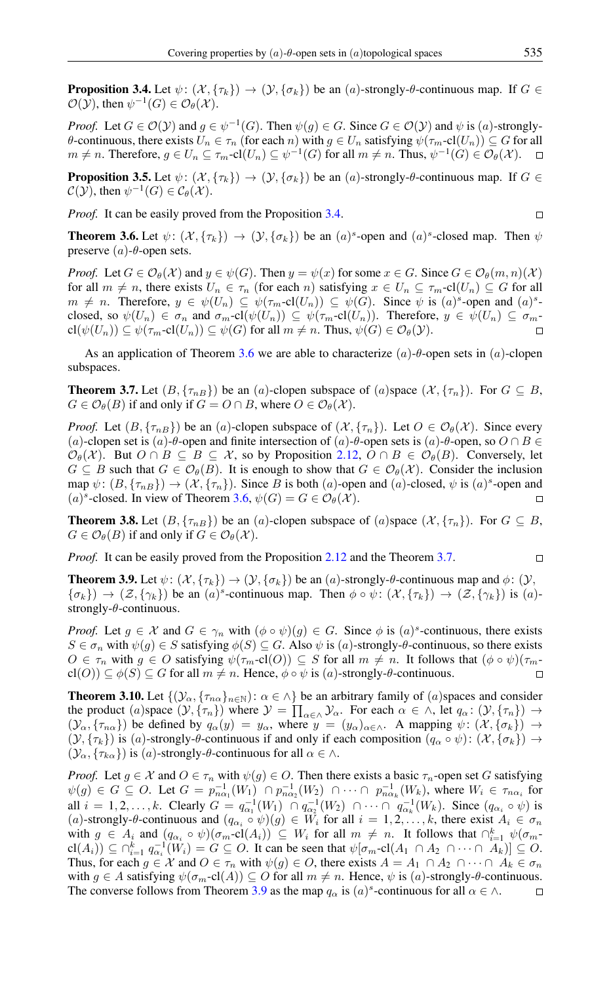<span id="page-4-0"></span>**Proposition 3.4.** Let  $\psi$ :  $(\mathcal{X}, {\{\tau_k\}}) \rightarrow (\mathcal{Y}, {\{\sigma_k\}})$  be an  $(a)$ -strongly- $\theta$ -continuous map. If  $G \in$  $\mathcal{O}(\mathcal{Y})$ , then  $\psi^{-1}(G) \in \mathcal{O}_{\theta}(\mathcal{X})$ .

*Proof.* Let  $G \in \mathcal{O}(\mathcal{Y})$  and  $g \in \psi^{-1}(G)$ . Then  $\psi(g) \in G$ . Since  $G \in \mathcal{O}(\mathcal{Y})$  and  $\psi$  is  $(a)$ -stronglyθ-continuous, there exists  $U_n$  ∈  $τ_n$  (for each n) with  $g ∈ U_n$  satisfying  $ψ(τ_m$ -cl $(U_n)) ⊆ G$  for all  $m \neq n$ . Therefore,  $g \in U_n \subseteq \tau_m$ -cl $(U_n) \subseteq \psi^{-1}(G)$  for all  $m \neq n$ . Thus,  $\psi^{-1}(G) \in \mathcal{O}_{\theta}(\mathcal{X})$ .

**Proposition 3.5.** Let  $\psi$ :  $(\mathcal{X}, \{\tau_k\}) \to (\mathcal{Y}, \{\sigma_k\})$  be an  $(a)$ -strongly- $\theta$ -continuous map. If  $G \in$  $\mathcal{C}(\mathcal{Y})$ , then  $\psi^{-1}(G) \in \mathcal{C}_{\theta}(\mathcal{X})$ .

*Proof.* It can be easily proved from the Proposition [3.4.](#page-4-0)

 $\Box$ 

 $\Box$ 

<span id="page-4-1"></span>**Theorem 3.6.** Let  $\psi$ :  $(\mathcal{X}, \{\tau_k\}) \to (\mathcal{Y}, \{\sigma_k\})$  be an  $(a)^s$ -open and  $(a)^s$ -closed map. Then  $\psi$ preserve  $(a)$ - $\theta$ -open sets.

*Proof.* Let  $G \in \mathcal{O}_{\theta}(\mathcal{X})$  and  $y \in \psi(G)$ . Then  $y = \psi(x)$  for some  $x \in G$ . Since  $G \in \mathcal{O}_{\theta}(m, n)(\mathcal{X})$ for all  $m \neq n$ , there exists  $U_n \in \tau_n$  (for each n) satisfying  $x \in U_n \subseteq \tau_m$ -cl $(U_n) \subseteq G$  for all  $m \neq n$ . Therefore,  $y \in \psi(U_n) \subseteq \psi(\tau_m\text{-}cl(U_n)) \subseteq \psi(G)$ . Since  $\psi$  is  $(a)^s$ -open and  $(a)^s$ closed, so  $\psi(U_n) \in \sigma_n$  and  $\sigma_m$ -cl $(\psi(U_n)) \subseteq \psi(\tau_m$ -cl $(U_n))$ . Therefore,  $y \in \psi(U_n) \subseteq \sigma_m$ - $\text{cl}(\psi(U_n)) \subseteq \psi(\tau_m\text{-cl}(U_n)) \subseteq \psi(G)$  for all  $m \neq n$ . Thus,  $\psi(G) \in \mathcal{O}_{\theta}(\mathcal{Y})$ .

As an application of Theorem [3.6](#page-4-1) we are able to characterize  $(a)$ -θ-open sets in  $(a)$ -clopen subspaces.

<span id="page-4-2"></span>**Theorem 3.7.** Let  $(B, \{\tau_{nB}\})$  be an  $(a)$ -clopen subspace of  $(a)$ space  $(\mathcal{X}, \{\tau_n\})$ . For  $G \subseteq B$ ,  $G \in \mathcal{O}_{\theta}(B)$  if and only if  $G = O \cap B$ , where  $O \in \mathcal{O}_{\theta}(\mathcal{X})$ .

*Proof.* Let  $(B, \{\tau_{nB}\})$  be an  $(a)$ -clopen subspace of  $(\mathcal{X}, \{\tau_n\})$ . Let  $O \in \mathcal{O}_{\theta}(\mathcal{X})$ . Since every (a)-clopen set is (a)- $\theta$ -open and finite intersection of (a)- $\theta$ -open sets is (a)- $\theta$ -open, so  $O \cap B \in$  $\mathcal{O}_{\theta}(\mathcal{X})$ . But  $O \cap B \subseteq B \subseteq \mathcal{X}$ , so by Proposition [2.12,](#page-2-3)  $O \cap B \in \mathcal{O}_{\theta}(B)$ . Conversely, let  $G \subseteq B$  such that  $G \in \mathcal{O}_{\theta}(B)$ . It is enough to show that  $G \in \mathcal{O}_{\theta}(\mathcal{X})$ . Consider the inclusion map  $\psi: (B, \{\tau_{nB}\}) \to (\mathcal{X}, \{\tau_n\})$ . Since B is both (a)-open and (a)-closed,  $\psi$  is (a)<sup>s</sup>-open and (a)<sup>s</sup>-closed. In view of Theorem [3.6,](#page-4-1)  $\psi(G) = G \in \mathcal{O}_{\theta}(\mathcal{X})$ .  $\Box$ 

<span id="page-4-4"></span>**Theorem 3.8.** Let  $(B, \{\tau_{nB}\})$  be an  $(a)$ -clopen subspace of  $(a)$ space  $(\mathcal{X}, \{\tau_n\})$ . For  $G \subseteq B$ ,  $G \in \mathcal{O}_{\theta}(B)$  if and only if  $G \in \mathcal{O}_{\theta}(\mathcal{X})$ .

*Proof.* It can be easily proved from the Proposition [2.12](#page-2-3) and the Theorem [3.7.](#page-4-2)

<span id="page-4-3"></span>**Theorem 3.9.** Let  $\psi$ :  $(\mathcal{X}, {\tau_k}) \rightarrow (\mathcal{Y}, {\sigma_k})$  be an  $(a)$ -strongly- $\theta$ -continuous map and  $\phi$ :  $(\mathcal{Y}, \mathcal{Y})$  $\{\sigma_k\}\rightarrow (\mathcal{Z}, \{\gamma_k\})$  be an  $(a)^s$ -continuous map. Then  $\phi \circ \psi: (\mathcal{X}, \{\tau_k\}) \rightarrow (\mathcal{Z}, \{\gamma_k\})$  is  $(a)$ strongly-θ-continuous.

*Proof.* Let  $g \in \mathcal{X}$  and  $G \in \gamma_n$  with  $(\phi \circ \psi)(g) \in G$ . Since  $\phi$  is  $(a)^s$ -continuous, there exists  $S \in \sigma_n$  with  $\psi(q) \in S$  satisfying  $\phi(S) \subseteq G$ . Also  $\psi$  is (a)-strongly- $\theta$ -continuous, so there exists  $O \in \tau_n$  with  $g \in O$  satisfying  $\psi(\tau_m\text{-cl}(O)) \subseteq S$  for all  $m \neq n$ . It follows that  $(\phi \circ \psi)(\tau_m\text{-cl}(O))$  $cl(O)) \subseteq \phi(S) \subseteq G$  for all  $m \neq n$ . Hence,  $\phi \circ \psi$  is  $(a)$ -strongly- $\theta$ -continuous.

**Theorem 3.10.** Let  $\{(\mathcal{Y}_\alpha, \{\tau_{n\alpha}\}_{n\in\mathbb{N}}): \alpha \in \Lambda\}$  be an arbitrary family of  $(a)$  spaces and consider the product (a)space  $(\mathcal{Y}, \{\tau_n\})$  where  $\mathcal{Y} = \prod_{\alpha \in \wedge} \mathcal{Y}_\alpha$ . For each  $\alpha \in \wedge$ , let  $q_\alpha : (\mathcal{Y}, \{\tau_n\}) \to$  $(\mathcal{Y}_{\alpha}, {\tau_{n\alpha}})$  be defined by  $q_{\alpha}(y) = y_{\alpha}$ , where  $y = (y_{\alpha})_{\alpha \in \wedge}$ . A mapping  $\psi: (\mathcal{X}, {\{\sigma_k\}}) \rightarrow$  $(\mathcal{Y}, {\tau_k})$  is (a)-strongly-θ-continuous if and only if each composition  $(q_\alpha \circ \psi) : (\mathcal{X}, {\tau_k}) \to$  $(\mathcal{Y}_{\alpha}, \{\tau_{k\alpha}\})$  is  $(a)$ -strongly-θ-continuous for all  $\alpha \in \wedge$ .

*Proof.* Let  $g \in \mathcal{X}$  and  $O \in \tau_n$  with  $\psi(g) \in O$ . Then there exists a basic  $\tau_n$ -open set G satisfying  $\psi(g) \in G \subseteq O$ . Let  $G = p_{n\alpha_1}^{-1}(W_1) \cap p_{n\alpha_2}^{-1}(W_2) \cap \cdots \cap p_{n\alpha_k}^{-1}(W_k)$ , where  $W_i \in \tau_{n\alpha_i}$  for all  $i = 1, 2, ..., k$ . Clearly  $G = q_{\alpha_1}^{-1}(W_1) \cap q_{\alpha_2}^{-1}(W_2) \cap \cdots \cap q_{\alpha_k}^{-1}(W_k)$ . Since  $(q_{\alpha_i} \circ \psi)$  is (a)-strongly-θ-continuous and  $(q_{\alpha_i} \circ \psi)(g) \in W_i$  for all  $i = 1, 2, ..., k$ , there exist  $A_i \in \sigma_n$ with  $g \in A_i$  and  $(q_{\alpha_i} \circ \psi)(\sigma_m\text{-cl}(A_i)) \subseteq W_i$  for all  $m \neq n$ . It follows that  $\bigcap_{i=1}^k \psi(\sigma_m\text{-cl}(A_i))$  $\text{cl}(A_i)) \subseteq \bigcap_{i=1}^k q_{\alpha_i}^{-1}(W_i) = G \subseteq O$ . It can be seen that  $\psi[\sigma_m\text{-}cl(A_1 \cap A_2 \cap \cdots \cap A_k)] \subseteq O$ . Thus, for each  $g \in \mathcal{X}$  and  $O \in \tau_n$  with  $\psi(g) \in O$ , there exists  $A = A_1 \cap A_2 \cap \cdots \cap A_k \in \sigma_n$ with  $g \in A$  satisfying  $\psi(\sigma_m\text{-}cl(A)) \subseteq O$  for all  $m \neq n$ . Hence,  $\psi$  is  $(a)$ -strongly- $\theta$ -continuous. The converse follows from Theorem [3.9](#page-4-3) as the map  $q_\alpha$  is  $(a)^s$ -continuous for all  $\alpha \in \wedge$ .  $\Box$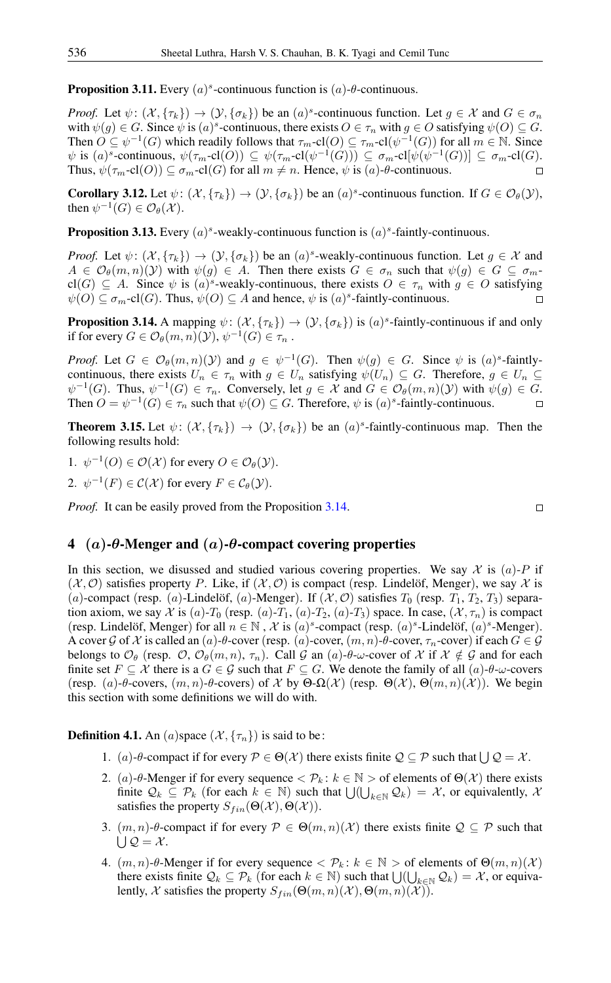<span id="page-5-1"></span>**Proposition 3.11.** Every  $(a)^s$ -continuous function is  $(a)$ - $\theta$ -continuous.

*Proof.* Let  $\psi: (\mathcal{X}, \{\tau_k\}) \to (\mathcal{Y}, \{\sigma_k\})$  be an  $(a)^s$ -continuous function. Let  $g \in \mathcal{X}$  and  $G \in \sigma_n$ with  $\psi(g) \in G$ . Since  $\psi$  is  $(a)^s$ -continuous, there exists  $O \in \tau_n$  with  $g \in O$  satisfying  $\psi(O) \subseteq G$ . Then  $O \subseteq \psi^{-1}(G)$  which readily follows that  $\tau_m$ -cl $(O) \subseteq \tau_m$ -cl $(\psi^{-1}(G))$  for all  $m \in \mathbb{N}$ . Since  $\psi$  is  $(a)^s$ -continuous,  $\psi(\tau_m\text{-}\mathrm{cl}(O)) \subseteq \psi(\tau_m\text{-}\mathrm{cl}(\psi^{-1}(G))) \subseteq \sigma_m\text{-}\mathrm{cl}[\psi(\psi^{-1}(G))] \subseteq \sigma_m\text{-}\mathrm{cl}(G)$ . Thus,  $\psi(\tau_m\text{-}cl(O)) \subseteq \sigma_m\text{-}cl(G)$  for all  $m \neq n$ . Hence,  $\psi$  is  $(a)$ - $\theta$ -continuous.  $\Box$ 

**Corollary 3.12.** Let  $\psi$ :  $(\mathcal{X}, {\tau_k}) \to (\mathcal{Y}, {\sigma_k})$  be an  $(a)^s$ -continuous function. If  $G \in \mathcal{O}_{\theta}(\mathcal{Y})$ , then  $\psi^{-1}(G) \in \mathcal{O}_{\theta}(\mathcal{X})$ .

**Proposition 3.13.** Every  $(a)^s$ -weakly-continuous function is  $(a)^s$ -faintly-continuous.

*Proof.* Let  $\psi: (\mathcal{X}, \{\tau_k\}) \to (\mathcal{Y}, \{\sigma_k\})$  be an  $(a)^s$ -weakly-continuous function. Let  $g \in \mathcal{X}$  and  $A \in \mathcal{O}_{\theta}(m,n)(\mathcal{Y})$  with  $\psi(g) \in A$ . Then there exists  $G \in \sigma_n$  such that  $\psi(g) \in G \subseteq \sigma_m$ cl(G)  $\subseteq$  A. Since  $\psi$  is  $(a)^s$ -weakly-continuous, there exists  $O \in \tau_n$  with  $g \in O$  satisfying  $\psi(O) \subseteq \sigma_m$ -cl $(G)$ . Thus,  $\psi(O) \subseteq A$  and hence,  $\psi$  is  $(a)^s$ -faintly-continuous.  $\Box$ 

<span id="page-5-0"></span>**Proposition 3.14.** A mapping  $\psi$ :  $(\mathcal{X}, \{\tau_k\}) \to (\mathcal{Y}, \{\sigma_k\})$  is  $(a)^s$ -faintly-continuous if and only if for every  $G \in \mathcal{O}_{\theta}(m, n)(\mathcal{Y}), \psi^{-1}(G) \in \tau_n$ .

*Proof.* Let  $G \in \mathcal{O}_{\theta}(m,n)(\mathcal{Y})$  and  $g \in \psi^{-1}(G)$ . Then  $\psi(g) \in G$ . Since  $\psi$  is  $(a)^s$ -faintlycontinuous, there exists  $U_n \in \tau_n$  with  $g \in U_n$  satisfying  $\psi(U_n) \subseteq G$ . Therefore,  $g \in U_n \subseteq$  $\psi^{-1}(G)$ . Thus,  $\psi^{-1}(G) \in \tau_n$ . Conversely, let  $g \in \mathcal{X}$  and  $G \in \mathcal{O}_{\theta}(m,n)(\mathcal{Y})$  with  $\psi(g) \in G$ . Then  $O = \psi^{-1}(G) \in \tau_n$  such that  $\psi(O) \subseteq G$ . Therefore,  $\psi$  is  $(a)^s$ -faintly-continuous.  $\Box$ 

<span id="page-5-2"></span>**Theorem 3.15.** Let  $\psi$ :  $(\mathcal{X}, {\tau_k}) \rightarrow (\mathcal{Y}, {\sigma_k})$  be an  $(a)^s$ -faintly-continuous map. Then the following results hold:

1.  $\psi^{-1}(O) \in \mathcal{O}(\mathcal{X})$  for every  $O \in \mathcal{O}_{\theta}(\mathcal{Y})$ .

2.  $\psi^{-1}(F) \in \mathcal{C}(\mathcal{X})$  for every  $F \in \mathcal{C}_{\theta}(\mathcal{Y})$ .

*Proof.* It can be easily proved from the Proposition [3.14.](#page-5-0)

#### 4 (a)- $\theta$ -Menger and (a)- $\theta$ -compact covering properties

In this section, we disussed and studied various covering properties. We say  $\mathcal X$  is  $(a)$ -P if  $(\mathcal{X}, \mathcal{O})$  satisfies property P. Like, if  $(\mathcal{X}, \mathcal{O})$  is compact (resp. Lindelöf, Menger), we say X is (a)-compact (resp. (a)-Lindelöf, (a)-Menger). If  $(X, \mathcal{O})$  satisfies  $T_0$  (resp.  $T_1, T_2, T_3$ ) separation axiom, we say X is (a)-T<sub>0</sub> (resp. (a)-T<sub>1</sub>, (a)-T<sub>2</sub>, (a)-T<sub>3</sub>) space. In case, (X,  $\tau_n$ ) is compact (resp. Lindelöf, Menger) for all  $n \in \mathbb{N}$ ,  $\mathcal{X}$  is  $(a)^s$ -compact (resp.  $(a)^s$ -Lindelöf,  $(a)^s$ -Menger). A cover G of X is called an  $(a)$ - $\theta$ -cover (resp.  $(a)$ -cover,  $(m, n)$ - $\theta$ -cover,  $\tau_n$ -cover) if each  $G \in \mathcal{G}$ belongs to  $\mathcal{O}_{\theta}$  (resp.  $\mathcal{O}, \mathcal{O}_{\theta}(m, n), \tau_n$ ). Call G an  $(a)$ - $\theta$ - $\omega$ -cover of X if  $\mathcal{X} \notin \mathcal{G}$  and for each finite set  $F \subseteq \mathcal{X}$  there is a  $G \in \mathcal{G}$  such that  $F \subseteq G$ . We denote the family of all  $(a)$ - $\theta$ - $\omega$ -covers (resp. (a)-θ-covers,  $(m, n)$ -θ-covers) of X by  $\Theta$ - $\Omega(\mathcal{X})$  (resp.  $\Theta(\mathcal{X}), \Theta(m, n)(\mathcal{X})$ ). We begin this section with some definitions we will do with.

**Definition 4.1.** An (a)space  $(\mathcal{X}, \{\tau_n\})$  is said to be:

- 1. (*a*)-θ-compact if for every  $P \in \Theta(\mathcal{X})$  there exists finite  $Q \subseteq P$  such that  $\bigcup Q = \mathcal{X}$ .
- 2. (a)-θ-Menger if for every sequence  $\langle \mathcal{P}_k : k \in \mathbb{N} \rangle$  of elements of  $\Theta(\mathcal{X})$  there exists finite  $\mathcal{Q}_k \subseteq \mathcal{P}_k$  (for each  $k \in \mathbb{N}$ ) such that  $\bigcup_{k \in \mathbb{N}} \mathcal{Q}_k = \mathcal{X}$ , or equivalently,  $\mathcal{X}$ satisfies the property  $S_{fin}(\Theta(\mathcal{X}), \Theta(\mathcal{X}))$ .
- 3.  $(m, n)$ -θ-compact if for every  $P \in \Theta(m, n)(\mathcal{X})$  there exists finite  $\mathcal{Q} \subseteq \mathcal{P}$  such that  $\bigcup \mathcal{Q} = \mathcal{X}.$
- 4.  $(m, n)$ -θ-Menger if for every sequence  $\langle \mathcal{P}_k : k \in \mathbb{N} \rangle$  of elements of  $\Theta(m, n)(\mathcal{X})$ there exists finite  $\mathcal{Q}_k \subseteq \mathcal{P}_k$  (for each  $k \in \mathbb{N}$ ) such that  $\bigcup_{k \in \mathbb{N}} \mathcal{Q}_k = \mathcal{X}$ , or equivalently, X satisfies the property  $S_{fin}(\Theta(m,n)(X), \Theta(m,n)(X))$ .

 $\Box$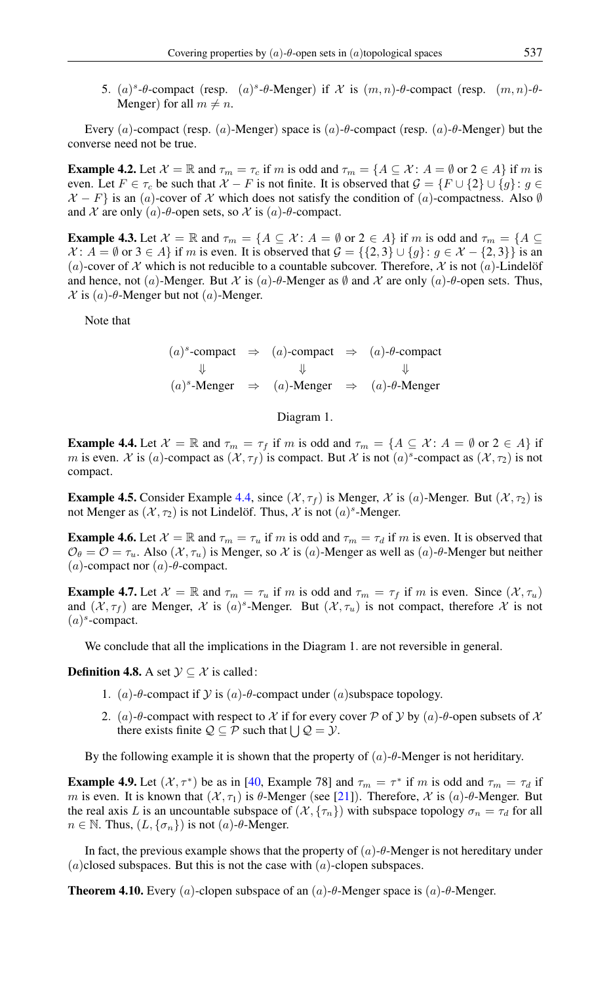5. (a)<sup>s</sup>-θ-compact (resp. (a)<sup>s</sup>-θ-Menger) if X is  $(m, n)$ -θ-compact (resp.  $(m, n)$ -θ-Menger) for all  $m \neq n$ .

Every (a)-compact (resp. (a)-Menger) space is  $(a)$ -θ-compact (resp.  $(a)$ -θ-Menger) but the converse need not be true.

**Example 4.2.** Let  $\mathcal{X} = \mathbb{R}$  and  $\tau_m = \tau_c$  if m is odd and  $\tau_m = \{A \subseteq \mathcal{X} : A = \emptyset \text{ or } 2 \in A\}$  if m is even. Let  $F \in \tau_c$  be such that  $\mathcal{X} - F$  is not finite. It is observed that  $\mathcal{G} = \{F \cup \{2\} \cup \{g\} : g \in$  $X - F$  is an (a)-cover of X which does not satisfy the condition of (a)-compactness. Also Ø and X are only (a)- $\theta$ -open sets, so X is (a)- $\theta$ -compact.

**Example 4.3.** Let  $\mathcal{X} = \mathbb{R}$  and  $\tau_m = \{A \subseteq \mathcal{X} : A = \emptyset \text{ or } 2 \in A\}$  if m is odd and  $\tau_m = \{A \subseteq \mathcal{X} : A = \emptyset \text{ or } 2 \in A\}$  $\mathcal{X}$ :  $A = \emptyset$  or  $3 \in A$  if m is even. It is observed that  $\mathcal{G} = \{\{2,3\} \cup \{g\} : g \in \mathcal{X} - \{2,3\}\}\$ is an (a)-cover of X which is not reducible to a countable subcover. Therefore, X is not (a)-Lindelöf and hence, not (a)-Menger. But X is (a)- $\theta$ -Menger as  $\emptyset$  and X are only (a)- $\theta$ -open sets. Thus,  $\mathcal X$  is  $(a)$ - $\theta$ -Menger but not  $(a)$ -Menger.

Note that

 $(a)^s$ -compact  $\Rightarrow$   $(a)$ -compact  $\Rightarrow$   $(a)$ - $\theta$ -compact  $\Downarrow$   $\Downarrow$  $(a)^s$ -Menger  $\Rightarrow$   $(a)$ -Menger  $\Rightarrow$   $(a)$ - $\theta$ -Menger

Diagram 1.

<span id="page-6-0"></span>**Example 4.4.** Let  $\mathcal{X} = \mathbb{R}$  and  $\tau_m = \tau_f$  if m is odd and  $\tau_m = \{A \subseteq \mathcal{X} : A = \emptyset \text{ or } 2 \in A\}$  if m is even.  $\mathcal X$  is (a)-compact as  $(\mathcal X, \tau_f)$  is compact. But  $\mathcal X$  is not (a)<sup>s</sup>-compact as  $(\mathcal X, \tau_2)$  is not compact.

**Example 4.5.** Consider Example [4.4,](#page-6-0) since  $(\mathcal{X}, \tau_f)$  is Menger,  $\mathcal{X}$  is (a)-Menger. But  $(\mathcal{X}, \tau_2)$  is not Menger as  $(\mathcal{X}, \tau_2)$  is not Lindelöf. Thus,  $\mathcal{X}$  is not  $(a)^s$ -Menger.

**Example 4.6.** Let  $\mathcal{X} = \mathbb{R}$  and  $\tau_m = \tau_u$  if m is odd and  $\tau_m = \tau_d$  if m is even. It is observed that  $\mathcal{O}_{\theta} = \mathcal{O} = \tau_u$ . Also  $(\mathcal{X}, \tau_u)$  is Menger, so X is (a)-Menger as well as (a)- $\theta$ -Menger but neither (a)-compact nor (a)- $\theta$ -compact.

**Example 4.7.** Let  $\mathcal{X} = \mathbb{R}$  and  $\tau_m = \tau_u$  if m is odd and  $\tau_m = \tau_f$  if m is even. Since  $(\mathcal{X}, \tau_u)$ and  $(X, \tau_f)$  are Menger, X is  $(a)^s$ -Menger. But  $(X, \tau_u)$  is not compact, therefore X is not  $(a)^s$ -compact.

We conclude that all the implications in the Diagram 1. are not reversible in general.

**Definition 4.8.** A set  $\mathcal{Y} \subseteq \mathcal{X}$  is called:

- 1. (a)-θ-compact if  $Y$  is (a)-θ-compact under (a)subspace topology.
- 2. (a)- $\theta$ -compact with respect to X if for every cover P of Y by (a)- $\theta$ -open subsets of X there exists finite  $Q \subseteq P$  such that  $\bigcup Q = \mathcal{Y}$ .

By the following example it is shown that the property of  $(a)$ - $\theta$ -Menger is not heriditary.

**Example 4.9.** Let  $(\mathcal{X}, \tau^*)$  be as in [\[40,](#page-10-21) Example 78] and  $\tau_m = \tau^*$  if m is odd and  $\tau_m = \tau_d$  if m is even. It is known that  $(\mathcal{X}, \tau_1)$  is  $\theta$ -Menger (see [\[21\]](#page-10-10)). Therefore,  $\mathcal{X}$  is  $(a)$ - $\theta$ -Menger. But the real axis L is an uncountable subspace of  $(\mathcal{X}, {\tau_n})$  with subspace topology  $\sigma_n = \tau_d$  for all  $n \in \mathbb{N}$ . Thus,  $(L, \{\sigma_n\})$  is not  $(a)$ - $\theta$ -Menger.

In fact, the previous example shows that the property of  $(a)$ -θ-Menger is not hereditary under  $(a)$ closed subspaces. But this is not the case with  $(a)$ -clopen subspaces.

**Theorem 4.10.** Every (a)-clopen subspace of an  $(a)$ -θ-Menger space is  $(a)$ -θ-Menger.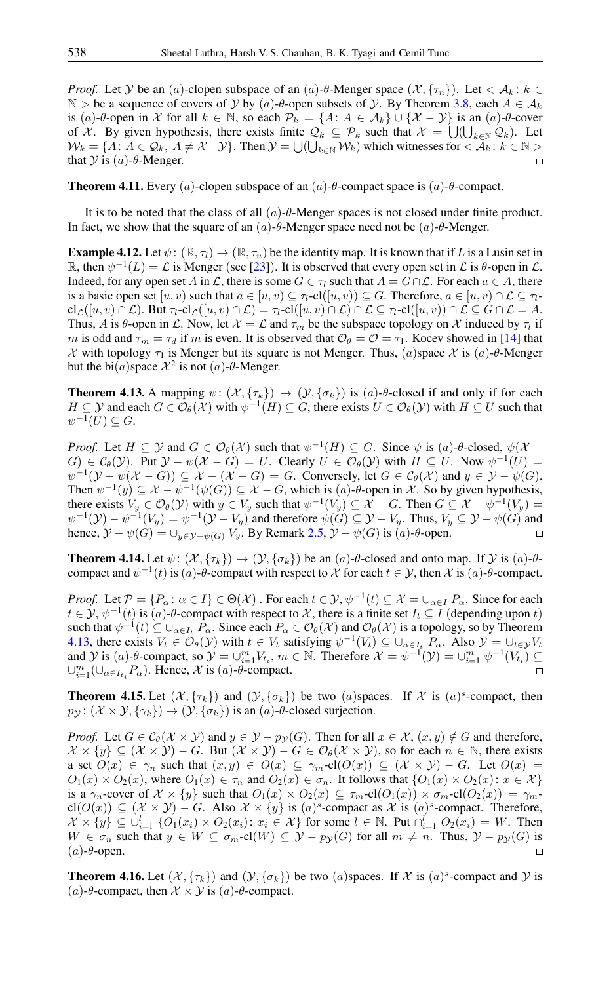*Proof.* Let Y be an (a)-clopen subspace of an (a)- $\theta$ -Menger space  $(\mathcal{X}, {\{\tau_n\}})$ . Let  $\lt A_k : k \in$ N > be a sequence of covers of Y by  $(a)$ - $\theta$ -open subsets of Y. By Theorem [3.8,](#page-4-4) each  $A \in \mathcal{A}_k$ is (a)-θ-open in X for all  $k \in \mathbb{N}$ , so each  $\mathcal{P}_k = \{A: A \in \mathcal{A}_k\} \cup \{X - Y\}$  is an (a)-θ-cover of X. By given hypothesis, there exists finite  $\mathcal{Q}_k \subseteq \mathcal{P}_k$  such that  $\mathcal{X} = \bigcup_{k \in \mathbb{N}} \mathcal{Q}_k$ . Let  $W_k = \{A: A \in \mathcal{Q}_k, A \neq \mathcal{X} - \mathcal{Y}\}\$ . Then  $\mathcal{Y} = \bigcup_{k \in \mathbb{N}} \mathcal{W}_k$  which witnesses for  $\langle A_k : k \in \mathbb{N} \rangle$ that  $\mathcal Y$  is  $(a)$ - $\theta$ -Menger.

**Theorem 4.11.** Every (a)-clopen subspace of an  $(a)$ - $\theta$ -compact space is  $(a)$ - $\theta$ -compact.

It is to be noted that the class of all  $(a)$ - $\theta$ -Menger spaces is not closed under finite product. In fact, we show that the square of an  $(a)$ -θ-Menger space need not be  $(a)$ -θ-Menger.

**Example 4.12.** Let  $\psi$ :  $(\mathbb{R}, \tau) \to (\mathbb{R}, \tau)$  be the identity map. It is known that if L is a Lusin set in R, then  $\psi^{-1}(L) = \mathcal{L}$  is Menger (see [\[23\]](#page-10-22)). It is observed that every open set in  $\mathcal{L}$  is  $\theta$ -open in  $\mathcal{L}$ . Indeed, for any open set A in L, there is some  $G \in \tau_l$  such that  $A = G \cap \mathcal{L}$ . For each  $a \in A$ , there is a basic open set  $[u, v)$  such that  $a \in [u, v) \subseteq \tau_l$ -cl $([u, v)) \subseteq G$ . Therefore,  $a \in [u, v) \cap \mathcal{L} \subseteq \tau_l$  $cl_{\mathcal{L}}([u, v) \cap \mathcal{L})$ . But  $\tau_l$ - $cl_{\mathcal{L}}([u, v) \cap \mathcal{L}) = \tau_l$ - $cl([u, v) \cap \mathcal{L}) \cap \mathcal{L} \subseteq \tau_l$ - $cl([u, v) \cap \mathcal{L} \subseteq G \cap \mathcal{L} = A$ . Thus, A is  $\theta$ -open in  $\mathcal{L}$ . Now, let  $\mathcal{X} = \mathcal{L}$  and  $\tau_m$  be the subspace topology on  $\mathcal{X}$  induced by  $\tau_l$  if m is odd and  $\tau_m = \tau_d$  if m is even. It is observed that  $\mathcal{O}_{\theta} = \mathcal{O} = \tau_1$ . Kocev showed in [\[14\]](#page-9-9) that  $\mathcal X$  with topology  $\tau_1$  is Menger but its square is not Menger. Thus, (a)space  $\mathcal X$  is (a)- $\theta$ -Menger but the bi $(a)$ space  $\mathcal{X}^2$  is not  $(a)$ - $\theta$ -Menger.

<span id="page-7-0"></span>**Theorem 4.13.** A mapping  $\psi$ :  $(\mathcal{X}, {\tau_k}) \rightarrow (\mathcal{Y}, {\sigma_k})$  is  $(a)$ - $\theta$ -closed if and only if for each  $H \subseteq Y$  and each  $G \in \mathcal{O}_{\theta}(\mathcal{X})$  with  $\psi^{-1}(H) \subseteq G$ , there exists  $U \in \mathcal{O}_{\theta}(\mathcal{Y})$  with  $H \subseteq U$  such that  $\psi^{-1}(U) \subseteq G.$ 

*Proof.* Let  $H \subseteq Y$  and  $G \in \mathcal{O}_{\theta}(\mathcal{X})$  such that  $\psi^{-1}(H) \subseteq G$ . Since  $\psi$  is  $(a)$ - $\theta$ -closed,  $\psi(\mathcal{X} G \in C_{\theta}(\mathcal{Y})$ . Put  $\mathcal{Y} - \psi(\mathcal{X} - G) = U$ . Clearly  $U \in \mathcal{O}_{\theta}(\mathcal{Y})$  with  $H \subseteq U$ . Now  $\psi^{-1}(U) =$  $\psi^{-1}(\mathcal{Y}-\psi(\mathcal{X}-G))\subseteq \mathcal{X}-(\mathcal{X}-G)=G$ . Conversely, let  $G\in\mathcal{C}_{\theta}(\mathcal{X})$  and  $y\in\mathcal{Y}-\psi(G)$ . Then  $\psi^{-1}(y) \subseteq \mathcal{X} - \psi^{-1}(\psi(G)) \subseteq \mathcal{X} - G$ , which is  $(a)$ - $\theta$ -open in  $\mathcal{X}$ . So by given hypothesis, there exists  $V_y \in \mathcal{O}_{\theta}(\mathcal{Y})$  with  $y \in V_y$  such that  $\psi^{-1}(V_y) \subseteq \mathcal{X} - G$ . Then  $G \subseteq \mathcal{X} - \psi^{-1}(V_y) =$  $\psi^{-1}(\mathcal{Y}) - \psi^{-1}(V_y) = \psi^{-1}(\mathcal{Y} - V_y)$  and therefore  $\psi(G) \subseteq \mathcal{Y} - V_y$ . Thus,  $V_y \subseteq \mathcal{Y} - \psi(G)$  and hence,  $\mathcal{Y} - \psi(G) = \bigcup_{y \in \mathcal{Y} - \psi(G)} V_y$ . By Remark [2.5,](#page-2-4)  $\mathcal{Y} - \psi(G)$  is  $(a)$ -θ-open.  $\Box$ 

<span id="page-7-2"></span>**Theorem 4.14.** Let  $\psi$ :  $(\mathcal{X}, \{\tau_k\}) \to (\mathcal{Y}, \{\sigma_k\})$  be an  $(a)$ -θ-closed and onto map. If  $\mathcal{Y}$  is  $(a)$ -θcompact and  $\psi^{-1}(t)$  is  $(a)$ - $\theta$ -compact with respect to X for each  $t \in \mathcal{Y}$ , then X is  $(a)$ - $\theta$ -compact.

*Proof.* Let  $P = \{P_\alpha : \alpha \in I\} \in \Theta(\mathcal{X})$ . For each  $t \in \mathcal{Y}, \psi^{-1}(t) \subseteq \mathcal{X} = \bigcup_{\alpha \in I} P_\alpha$ . Since for each  $t \in \mathcal{Y}, \psi^{-1}(t)$  is  $(a)$ - $\theta$ -compact with respect to X, there is a finite set  $I_t \subseteq I$  (depending upon t) such that  $\psi^{-1}(t) \subseteq \bigcup_{\alpha \in I_t} P_\alpha$ . Since each  $P_\alpha \in \mathcal{O}_\theta(\mathcal{X})$  and  $\mathcal{O}_\theta(\mathcal{X})$  is a topology, so by Theorem [4.13,](#page-7-0) there exists  $V_t \in \mathcal{O}_{\theta}(\mathcal{Y})$  with  $t \in V_t$  satisfying  $\psi^{-1}(V_t) \subseteq \bigcup_{\alpha \in I_t} P_\alpha$ . Also  $\mathcal{Y} = \bigcup_{t \in \mathcal{Y}} V_t$ and  $\mathcal{Y}$  is  $(a)$ - $\theta$ -compact, so  $\mathcal{Y} = \bigcup_{i=1}^{m} V_{t_i}$ ,  $m \in \mathbb{N}$ . Therefore  $\mathcal{X} = \psi^{-1}(\mathcal{Y}) = \bigcup_{i=1}^{m} \psi^{-1}(V_{t_i}) \subseteq$  $\cup_{i=1}^m (\cup_{\alpha \in I_{t_i}} P_{\alpha})$ . Hence, X is  $(a)$ - $\theta$ -compact.

<span id="page-7-1"></span>**Theorem 4.15.** Let  $(\mathcal{X}, {\{\tau_k\}})$  and  $(\mathcal{Y}, {\{\sigma_k\}})$  be two  $(a)$ spaces. If  $\mathcal{X}$  is  $(a)^s$ -compact, then  $p_{\mathcal{Y}}: (\mathcal{X} \times \mathcal{Y}, \{\gamma_k\}) \rightarrow (\mathcal{Y}, \{\sigma_k\})$  is an  $(a)$ - $\theta$ -closed surjection.

*Proof.* Let  $G \in \mathcal{C}_{\theta}(\mathcal{X} \times \mathcal{Y})$  and  $y \in \mathcal{Y} - p_{\mathcal{Y}}(G)$ . Then for all  $x \in \mathcal{X}$ ,  $(x, y) \notin G$  and therefore,  $\mathcal{X} \times \{y\} \subseteq (\mathcal{X} \times \mathcal{Y}) - G$ . But  $(\mathcal{X} \times \mathcal{Y}) - G \in \mathcal{O}_{\theta}(\mathcal{X} \times \mathcal{Y})$ , so for each  $n \in \mathbb{N}$ , there exists a set  $O(x) \in \gamma_n$  such that  $(x, y) \in O(x) \subseteq \gamma_m$ -cl $(O(x)) \subseteq (\mathcal{X} \times \mathcal{Y}) - G$ . Let  $O(x) =$  $O_1(x) \times O_2(x)$ , where  $O_1(x) \in \tau_n$  and  $O_2(x) \in \sigma_n$ . It follows that  $\{O_1(x) \times O_2(x) : x \in \mathcal{X}\}\$ is a  $\gamma_n$ -cover of  $\mathcal{X} \times \{y\}$  such that  $O_1(x) \times O_2(x) \subseteq \tau_m$ -cl $(O_1(x)) \times \sigma_m$ -cl $(O_2(x)) = \gamma_m$ - $\text{cl}(O(x)) \subseteq (\mathcal{X} \times \mathcal{Y}) - G$ . Also  $\mathcal{X} \times \{y\}$  is  $(a)^s$ -compact as  $\mathcal{X}$  is  $(a)^s$ -compact. Therefore,  $\mathcal{X} \times \{y\} \subseteq \bigcup_{i=1}^l \{O_1(x_i) \times O_2(x_i): x_i \in \mathcal{X}\}\$  for some  $l \in \mathbb{N}$ . Put  $\bigcap_{i=1}^l O_2(x_i) = W$ . Then W  $\in \sigma_n$  such that  $y \in W \subseteq \sigma_m$ -cl $(W) \subseteq Y - p_Y(G)$  for all  $m \neq n$ . Thus,  $Y - p_Y(G)$  is  $(a)$ - $\theta$ -open.

<span id="page-7-3"></span>**Theorem 4.16.** Let  $(\mathcal{X}, {\{\tau_k\}})$  and  $(\mathcal{Y}, {\{\sigma_k\}})$  be two  $(a)$  spaces. If  $\mathcal{X}$  is  $(a)^s$ -compact and  $\mathcal{Y}$  is (*a*)-θ-compact, then  $X \times Y$  is (*a*)-θ-compact.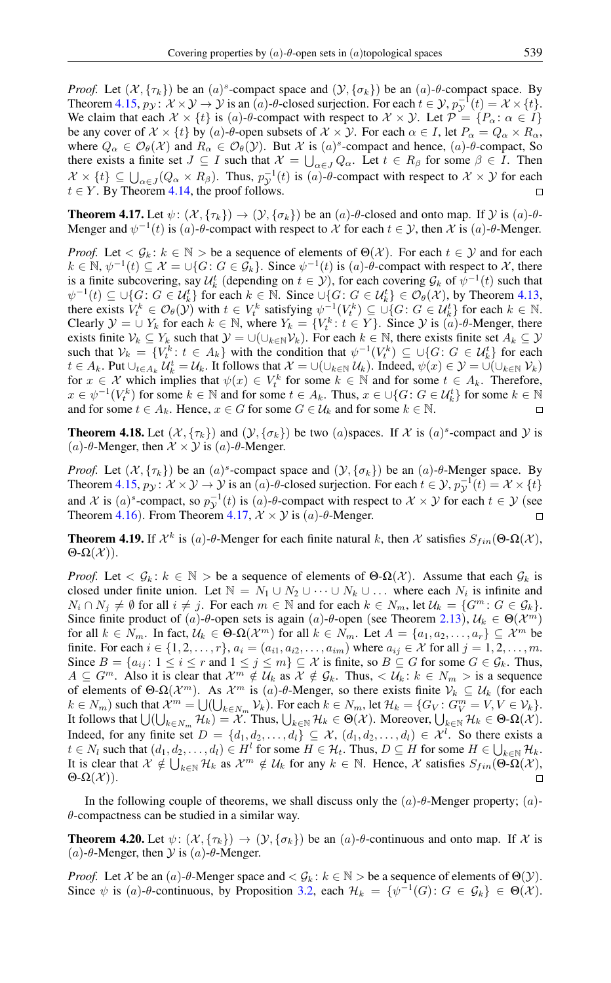*Proof.* Let  $(\mathcal{X}, {\tau_k})$  be an  $(a)^s$ -compact space and  $(\mathcal{Y}, {\{\sigma_k\}})$  be an  $(a)$ - $\theta$ -compact space. By Theorem [4.15,](#page-7-1)  $p_{\mathcal{Y}}: \mathcal{X} \times \mathcal{Y} \to \mathcal{Y}$  is an  $(a)$ - $\theta$ -closed surjection. For each  $t \in \mathcal{Y}$ ,  $p_{\mathcal{Y}}^{-1}(t) = \mathcal{X} \times \{t\}$ . We claim that each  $\mathcal{X} \times \{t\}$  is  $(a)$ - $\theta$ -compact with respect to  $\mathcal{X} \times \mathcal{Y}$ . Let  $\mathcal{P} = \{P_{\alpha} : \alpha \in I\}$ be any cover of  $\mathcal{X} \times \{t\}$  by  $(a)$ - $\theta$ -open subsets of  $\mathcal{X} \times \mathcal{Y}$ . For each  $\alpha \in I$ , let  $P_{\alpha} = Q_{\alpha} \times R_{\alpha}$ , where  $Q_{\alpha} \in \mathcal{O}_{\theta}(\mathcal{X})$  and  $R_{\alpha} \in \mathcal{O}_{\theta}(\mathcal{Y})$ . But X is  $(a)^s$ -compact and hence,  $(a)$ - $\theta$ -compact, So there exists a finite set  $J \subseteq I$  such that  $\mathcal{X} = \bigcup_{\alpha \in J} Q_{\alpha}$ . Let  $t \in R_{\beta}$  for some  $\beta \in I$ . Then  $\mathcal{X} \times \{t\} \subseteq \bigcup_{\alpha \in J} (Q_{\alpha} \times R_{\beta})$ . Thus,  $p_{\mathcal{Y}}^{-1}(t)$  is  $(a)$ - $\theta$ -compact with respect to  $\mathcal{X} \times \mathcal{Y}$  for each  $t \in Y$ . By Theorem [4.14,](#page-7-2) the proof follows.  $\Box$ 

<span id="page-8-0"></span>**Theorem 4.17.** Let  $\psi$ :  $(\mathcal{X}, {\{\tau_k\}}) \rightarrow (\mathcal{Y}, {\{\sigma_k\}})$  be an  $(a)$ -θ-closed and onto map. If  $\mathcal{Y}$  is  $(a)$ -θ-Menger and  $\psi^{-1}(t)$  is  $(a)$ - $\theta$ -compact with respect to X for each  $t \in \mathcal{Y}$ , then X is  $(a)$ - $\theta$ -Menger.

*Proof.* Let  $\langle G_k : k \in \mathbb{N} \rangle$  be a sequence of elements of  $\Theta(\mathcal{X})$ . For each  $t \in \mathcal{Y}$  and for each  $k \in \mathbb{N}, \psi^{-1}(t) \subseteq \mathcal{X} = \cup \{G : G \in \mathcal{G}_k\}.$  Since  $\psi^{-1}(t)$  is  $(a)$ - $\theta$ -compact with respect to X, there is a finite subcovering, say  $\mathcal{U}_k^t$  (depending on  $t \in \mathcal{Y}$ ), for each covering  $\mathcal{G}_k$  of  $\psi^{-1}(t)$  such that  $\psi^{-1}(t) \subseteq \bigcup \{ G : G \in \mathcal{U}_{k}^{t} \}$  for each  $k \in \mathbb{N}$ . Since  $\bigcup \{ G : G \in \mathcal{U}_{k}^{t} \} \in \mathcal{O}_{\theta}(\mathcal{X})$ , by Theorem [4.13,](#page-7-0) there exists  $V_t^k \in \mathcal{O}_\theta(\mathcal{Y})$  with  $t \in V_t^k$  satisfying  $\psi^{-1}(V_t^k) \subseteq \cup \{G : G \in \mathcal{U}_k^t\}$  for each  $k \in \mathbb{N}$ . Clearly  $\mathcal{Y} = \bigcup Y_k$  for each  $k \in \mathbb{N}$ , where  $Y_k = \{V_t^k : t \in Y\}$ . Since  $\mathcal{Y}$  is  $(a)$ - $\theta$ -Menger, there exists finite  $V_k \subseteq Y_k$  such that  $\mathcal{Y} = \cup(\cup_{k \in \mathbb{N}} V_k)$ . For each  $k \in \mathbb{N}$ , there exists finite set  $A_k \subseteq \mathcal{Y}$ such that  $V_k = \{V_i^k : t \in A_k\}$  with the condition that  $\psi^{-1}(V_i^k) \subseteq \bigcup\{G : G \in \mathcal{U}_k^t\}$  for each  $t \in A_k$ . Put  $\cup_{t \in A_k} U_k^t = \mathcal{U}_k$ . It follows that  $\mathcal{X} = \cup (\cup_{k \in \mathbb{N}} \mathcal{U}_k)$ . Indeed,  $\psi(x) \in \mathcal{Y} = \cup (\cup_{k \in \mathbb{N}} \mathcal{V}_k)$ for  $x \in \mathcal{X}$  which implies that  $\psi(x) \in V_t^k$  for some  $k \in \mathbb{N}$  and for some  $t \in A_k$ . Therefore,  $x \in \psi^{-1}(V_t^k)$  for some  $k \in \mathbb{N}$  and for some  $t \in A_k$ . Thus,  $x \in \bigcup\{G : G \in \mathcal{U}_k^t\}$  for some  $k \in \mathbb{N}$ and for some  $t \in A_k$ . Hence,  $x \in G$  for some  $G \in \mathcal{U}_k$  and for some  $k \in \mathbb{N}$ .

**Theorem 4.18.** Let  $(\mathcal{X}, \{\tau_k\})$  and  $(\mathcal{Y}, \{\sigma_k\})$  be two  $(a)$  spaces. If  $\mathcal{X}$  is  $(a)^s$ -compact and  $\mathcal{Y}$  is (a)- $\theta$ -Menger, then  $\mathcal{X} \times \mathcal{Y}$  is (a)- $\theta$ -Menger.

*Proof.* Let  $(\mathcal{X}, {\{\tau_k\}})$  be an  $(a)^s$ -compact space and  $(\mathcal{Y}, {\{\sigma_k\}})$  be an  $(a)$ -θ-Menger space. By Theorem [4.15,](#page-7-1)  $p_y: \mathcal{X} \times \mathcal{Y} \to \mathcal{Y}$  is an  $(a)$ - $\theta$ -closed surjection. For each  $t \in \mathcal{Y}$ ,  $p_y^{-1}(t) = \mathcal{X} \times \{t\}$ and X is  $(a)^s$ -compact, so  $p_{\mathcal{Y}}^{-1}(t)$  is  $(a)$ - $\theta$ -compact with respect to  $\mathcal{X} \times \mathcal{Y}$  for each  $t \in \mathcal{Y}$  (see Theorem [4.16](#page-7-3)). From Theorem [4.17,](#page-8-0)  $\mathcal{X} \times \mathcal{Y}$  is (a)- $\theta$ -Menger.

**Theorem 4.19.** If  $\mathcal{X}^k$  is (a)-θ-Menger for each finite natural k, then X satisfies  $S_{fin}(\Theta \cdot \Omega(\mathcal{X}))$ , Θ-Ω $(\mathcal{X})$ ).

*Proof.* Let  $\lt G_k$ :  $k \in \mathbb{N} >$  be a sequence of elements of  $\Theta$ - $\Omega$ (X). Assume that each  $\mathcal{G}_k$  is closed under finite union. Let  $\mathbb{N} = N_1 \cup N_2 \cup \cdots \cup N_k \cup \ldots$  where each  $N_i$  is infinite and  $N_i \cap N_j \neq \emptyset$  for all  $i \neq j$ . For each  $m \in \mathbb{N}$  and for each  $k \in N_m$ , let  $\mathcal{U}_k = \{G^m : G \in \mathcal{G}_k\}$ . Since finite product of (a)- $\theta$ -open sets is again (a)- $\theta$ -open (see Theorem [2.13](#page-2-2)),  $\mathcal{U}_k \in \Theta(\mathcal{X}^m)$ for all  $k \in N_m$ . In fact,  $\mathcal{U}_k \in \Theta \cdot \Omega(\mathcal{X}^m)$  for all  $k \in N_m$ . Let  $A = \{a_1, a_2, \dots, a_r\} \subseteq \mathcal{X}^m$  be finite. For each  $i \in \{1, 2, ..., r\}$ ,  $a_i = (a_{i1}, a_{i2}, ..., a_{im})$  where  $a_{ij} \in \mathcal{X}$  for all  $j = 1, 2, ..., m$ . Since  $B = \{a_{ij} : 1 \le i \le r \text{ and } 1 \le j \le m\} \subseteq \mathcal{X}$  is finite, so  $B \subseteq G$  for some  $G \in \mathcal{G}_k$ . Thus,  $A \subseteq G^m$ . Also it is clear that  $\mathcal{X}^m \notin \mathcal{U}_k$  as  $\mathcal{X} \notin \mathcal{G}_k$ . Thus,  $\lt \mathcal{U}_k : k \in N_m >$  is a sequence of elements of  $\Theta$ - $\Omega(\mathcal{X}^m)$ . As  $\mathcal{X}^m$  is  $(a)$ - $\theta$ -Menger, so there exists finite  $\mathcal{V}_k \subseteq \mathcal{U}_k$  (for each  $k \in N_m$ ) such that  $\mathcal{X}^m = \bigcup \left( \bigcup_{k \in N_m} \mathcal{V}_k \right)$ . For each  $k \in N_m$ , let  $\mathcal{H}_k = \{ G_V : G_V^m = V, V \in \mathcal{V}_k \}$ . It follows that  $\bigcup (\bigcup_{k\in N_m}\mathcal{H}_k) = \mathcal{X}$ . Thus,  $\bigcup_{k\in \mathbb{N}}\mathcal{H}_k \in \Theta(\mathcal{X})$ . Moreover,  $\bigcup_{k\in \mathbb{N}}\mathcal{H}_k \in \Theta \text{-}\Omega(\mathcal{X})$ . Indeed, for any finite set  $D = \{d_1, d_2, \ldots, d_l\} \subseteq \mathcal{X}, (d_1, d_2, \ldots, d_l) \in \mathcal{X}^l$ . So there exists a  $t \in N_l$  such that  $(d_1, d_2, \dots, d_l) \in H^l$  for some  $H \in \mathcal{H}_t$ . Thus,  $D \subseteq H$  for some  $H \in \bigcup_{k \in \mathbb{N}} \mathcal{H}_k$ . It is clear that  $\mathcal{X} \notin \bigcup_{k \in \mathbb{N}} \mathcal{H}_k$  as  $\mathcal{X}^m \notin \mathcal{U}_k$  for any  $k \in \mathbb{N}$ . Hence,  $\mathcal{X}$  satisfies  $S_{fin}(\widetilde{\Theta} \cdot \widetilde{\Omega}(\mathcal{X}))$ . Θ-Ω $(\mathcal{X})$ ).

In the following couple of theorems, we shall discuss only the  $(a)$ -θ-Menger property;  $(a)$ - $\theta$ -compactness can be studied in a similar way.

<span id="page-8-1"></span>**Theorem 4.20.** Let  $\psi: (\mathcal{X}, \{\tau_k\}) \to (\mathcal{Y}, \{\sigma_k\})$  be an  $(a)$ - $\theta$ -continuous and onto map. If X is (a)-θ-Menger, then  $Y$  is (a)-θ-Menger.

*Proof.* Let X be an  $(a)$ -θ-Menger space and  $\lt \mathcal{G}_k$ :  $k \in \mathbb{N} >$  be a sequence of elements of  $\Theta(\mathcal{Y})$ . Since  $\psi$  is (a)- $\theta$ -continuous, by Proposition [3.2,](#page-3-2) each  $\mathcal{H}_k = {\psi^{-1}(G) : G \in \mathcal{G}_k} \in \Theta(\mathcal{X})$ .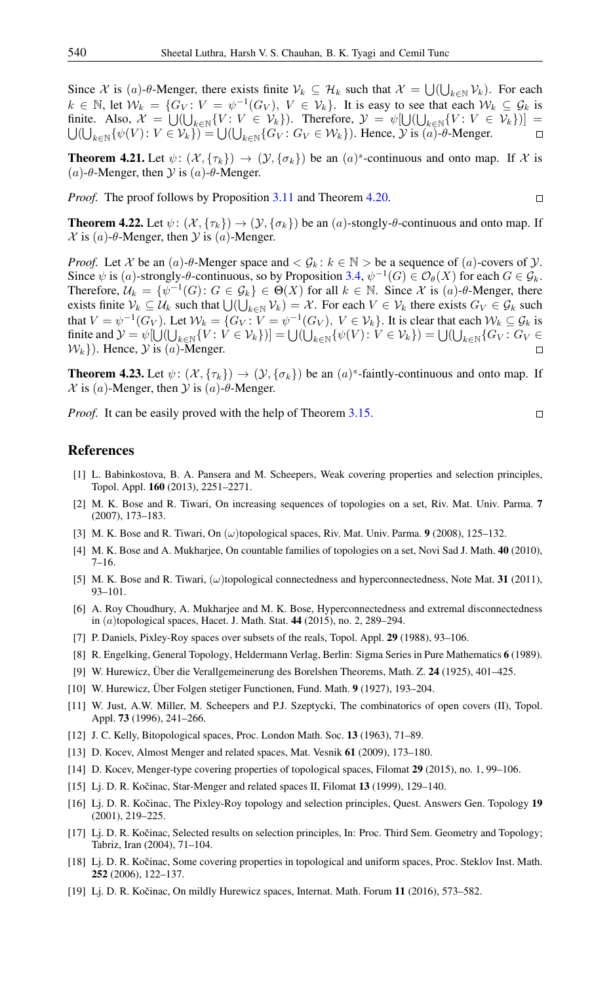Since X is (a)-θ-Menger, there exists finite  $V_k \subseteq H_k$  such that  $X = \bigcup_{k \in \mathbb{N}} V_k$ . For each  $k \in \mathbb{N}$ , let  $\mathcal{W}_k = \{G_V : V = \psi^{-1}(G_V), V \in \mathcal{V}_k\}$ . It is easy to see that each  $\mathcal{W}_k \subseteq \mathcal{G}_k$  is finite. Also,  $\mathcal{X} = \bigcup_{k \in \mathbb{N}} \{V : V \in \mathcal{V}_k\}$ . Therefore,  $\mathcal{Y} = \psi[\bigcup_{k \in \mathbb{N}} \{V : V \in \mathcal{V}_k\}] =$  $\bigcup_{k\in\mathbb{N}}\{\psi(V): V\in\mathcal{V}_k\}=\bigcup(\bigcup_{k\in\mathbb{N}}\{G_V: G_V\in\mathcal{W}_k\}).$  Hence,  $\mathcal Y$  is  $(a)$ - $\theta$ -Menger.  $\Box$ 

**Theorem 4.21.** Let  $\psi: (\mathcal{X}, \{\tau_k\}) \to (\mathcal{Y}, \{\sigma_k\})$  be an  $(a)^s$ -continuous and onto map. If X is (a)-θ-Menger, then  $Y$  is (a)-θ-Menger.

*Proof.* The proof follows by Proposition [3.11](#page-5-1) and Theorem [4.20.](#page-8-1)

 $\Box$ 

 $\Box$ 

**Theorem 4.22.** Let  $\psi$ :  $(\mathcal{X}, {\{\tau_k\}}) \rightarrow (\mathcal{Y}, {\{\sigma_k\}})$  be an  $(a)$ -stongly- $\theta$ -continuous and onto map. If  $\mathcal X$  is (a)- $\theta$ -Menger, then  $\mathcal Y$  is (a)-Menger.

*Proof.* Let X be an  $(a)$ - $\theta$ -Menger space and  $\lt G_k$ :  $k \in \mathbb{N}$  > be a sequence of  $(a)$ -covers of  $\mathcal{Y}$ . Since  $\psi$  is (a)-strongly- $\theta$ -continuous, so by Proposition [3.4,](#page-4-0)  $\psi^{-1}(G) \in \mathcal{O}_{\theta}(X)$  for each  $G \in \mathcal{G}_k$ . Therefore,  $\mathcal{U}_k = \{ \psi^{-1}(G) : G \in \mathcal{G}_k \} \in \Theta(X)$  for all  $k \in \mathbb{N}$ . Since X is  $(a)$ - $\theta$ -Menger, there exists finite  $V_k \subseteq U_k$  such that  $\bigcup_{k \in \mathbb{N}} V_k) = X$ . For each  $V \in V_k$  there exists  $G_V \in \mathcal{G}_k$  such that  $V = \psi^{-1}(G_V)$ . Let  $\mathcal{W}_k = \{G_V : V = \psi^{-1}(G_V), V \in \mathcal{V}_k\}$ . It is clear that each  $\mathcal{W}_k \subseteq \mathcal{G}_k$  is finite and  $\mathcal{Y} = \psi[\bigcup(\bigcup_{k \in \mathbb{N}} \{V : V \in \mathcal{V}_k\})] = \bigcup(\bigcup_{k \in \mathbb{N}} \{\psi(V) : V \in \mathcal{V}_k\}) = \bigcup(\bigcup_{k \in \mathbb{N}} \{G_V : G_V \in \mathcal{V}_k\})$  $\{\mathcal{W}_k\}\)$ . Hence,  $\mathcal Y$  is  $(a)$ -Menger.  $\Box$ 

**Theorem 4.23.** Let  $\psi: (\mathcal{X}, \{\tau_k\}) \to (\mathcal{Y}, \{\sigma_k\})$  be an  $(a)^s$ -faintly-continuous and onto map. If  $\mathcal X$  is (a)-Menger, then  $\mathcal Y$  is (a)- $\theta$ -Menger.

*Proof.* It can be easily proved with the help of Theorem [3.15.](#page-5-2)

#### <span id="page-9-0"></span>References

- <span id="page-9-7"></span>[1] L. Babinkostova, B. A. Pansera and M. Scheepers, Weak covering properties and selection principles, Topol. Appl. 160 (2013), 2251–2271.
- <span id="page-9-14"></span>[2] M. K. Bose and R. Tiwari, On increasing sequences of topologies on a set, Riv. Mat. Univ. Parma. 7 (2007), 173–183.
- <span id="page-9-15"></span>[3] M. K. Bose and R. Tiwari, On  $(\omega)$ topological spaces, Riv. Mat. Univ. Parma. 9 (2008), 125–132.
- <span id="page-9-17"></span>[4] M. K. Bose and A. Mukharjee, On countable families of topologies on a set, Novi Sad J. Math. 40 (2010), 7–16.
- <span id="page-9-16"></span>[5] M. K. Bose and R. Tiwari, ( $\omega$ )topological connectedness and hyperconnectedness, Note Mat. 31 (2011), 93–101.
- <span id="page-9-18"></span>[6] A. Roy Choudhury, A. Mukharjee and M. K. Bose, Hyperconnectedness and extremal disconnectedness in (a)topological spaces, Hacet. J. Math. Stat. 44 (2015), no. 2, 289–294.
- <span id="page-9-10"></span>[7] P. Daniels, Pixley-Roy spaces over subsets of the reals, Topol. Appl. 29 (1988), 93–106.
- <span id="page-9-19"></span>[8] R. Engelking, General Topology, Heldermann Verlag, Berlin: Sigma Series in Pure Mathematics 6 (1989).
- <span id="page-9-1"></span>[9] W. Hurewicz, Über die Verallgemeinerung des Borelshen Theorems, Math. Z. 24 (1925), 401–425.
- <span id="page-9-2"></span>[10] W. Hurewicz, Über Folgen stetiger Functionen, Fund. Math. 9 (1927), 193–204.
- <span id="page-9-5"></span>[11] W. Just, A.W. Miller, M. Scheepers and P.J. Szeptycki, The combinatorics of open covers (II), Topol. Appl. 73 (1996), 241–266.
- <span id="page-9-13"></span>[12] J. C. Kelly, Bitopological spaces, Proc. London Math. Soc. 13 (1963), 71–89.
- <span id="page-9-8"></span>[13] D. Kocev, Almost Menger and related spaces, Mat. Vesnik 61 (2009), 173–180.
- <span id="page-9-9"></span>[14] D. Kocev, Menger-type covering properties of topological spaces, Filomat 29 (2015), no. 1, 99–106.
- <span id="page-9-11"></span>[15] Lj. D. R. Kočinac, Star-Menger and related spaces II, Filomat  $13$  (1999), 129–140.
- <span id="page-9-3"></span>[16] Lj. D. R. Kočinac, The Pixley-Roy topology and selection principles, Quest. Answers Gen. Topology 19 (2001), 219–225.
- <span id="page-9-4"></span>[17] Lj. D. R. Kočinac, Selected results on selection principles, In: Proc. Third Sem. Geometry and Topology; Tabriz, Iran (2004), 71–104.
- <span id="page-9-6"></span>[18] Lj. D. R. Kočinac, Some covering properties in topological and uniform spaces, Proc. Steklov Inst. Math. 252 (2006), 122–137.
- <span id="page-9-12"></span>[19] Lj. D. R. Kočinac, On mildly Hurewicz spaces, Internat. Math. Forum 11 (2016), 573–582.